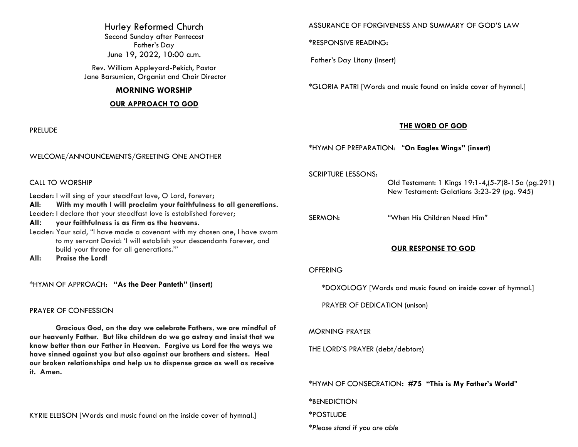Hurley Reformed Church Second Sunday after Pentecost Father's Day June 19, 2022, 10:00 a.m.

Rev. William Appleyard-Pekich, Pastor Jane Barsumian, Organist and Choir Director

### **MORNING WORSHIP**

### **OUR APPROACH TO GOD**

PRELUDE

### WELCOME/ANNOUNCEMENTS/GREETING ONE ANOTHER

### CALL TO WORSHIP

Leader: I will sing of your steadfast love, O Lord, forever;

**All**: **With my mouth I will proclaim your faithfulness to all generations.** Leader: I declare that your steadfast love is established forever;

### **All: your faithfulness is as firm as the heavens.**

- Leader: Your said, "I have made a covenant with my chosen one, I have sworn to my servant David: 'I will establish your descendants forever, and build your throne for all generations.'"
- **All: Praise the Lord!**

\*HYMN OF APPROACH: **"As the Deer Panteth" (insert)**

### PRAYER OF CONFESSION

**Gracious God, on the day we celebrate Fathers, we are mindful of our heavenly Father. But like children do we go astray and insist that we know better than our Father in Heaven. Forgive us Lord for the ways we have sinned against you but also against our brothers and sisters. Heal our broken relationships and help us to dispense grace as well as receive it. Amen.**

KYRIE ELEISON [Words and music found on the inside cover of hymnal.]

ASSURANCE OF FORGIVENESS AND SUMMARY OF GOD'S LAW

\*RESPONSIVE READING:

Father's Day Litany (insert)

\*GLORIA PATRI [Words and music found on inside cover of hymnal.]

## **THE WORD OF GOD**

\*HYMN OF PREPARATION: "**On Eagles Wings" (insert)**

### SCRIPTURE LESSONS:

 Old Testament: 1 Kings 19:1-4,(5-7)8-15a (pg.291) New Testament: Galatians 3:23-29 (pg. 945)

SERMON: *"*When His Children Need Him*"*

## **OUR RESPONSE TO GOD**

### **OFFERING**

\*DOXOLOGY [Words and music found on inside cover of hymnal.]

PRAYER OF DEDICATION (unison)

### MORNING PRAYER

THE LORD'S PRAYER (debt/debtors)

\*HYMN OF CONSECRATION**: #75 "This is My Father's World**"

\*BENEDICTION

\*POSTLUDE

*\*Please stand if you are able*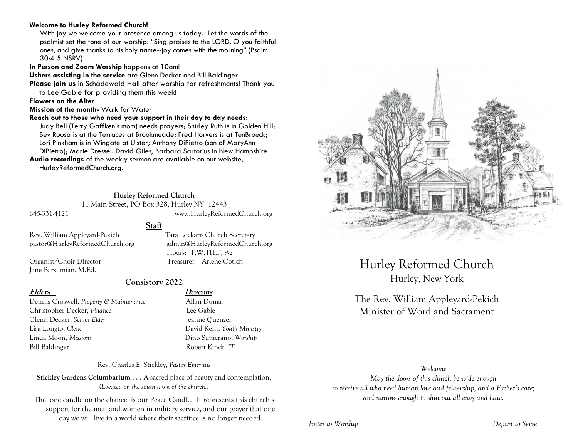### **Welcome to Hurley Reformed Church!**

With joy we welcome your presence among us today. Let the words of the psalmist set the tone of our worship: "Sing praises to the LORD, O you faithful ones, and give thanks to his holy name--joy comes with the morning" (Psalm 30:4-5 NSRV)

**In Person and Zoom Worship** happens at 10am!

**Ushers assisting in the service** are Glenn Decker and Bill Baldinger

**Please join us** in Schadewald Hall after worship for refreshments! Thank you to Lee Gable for providing them this week!

### **Flowers on the Alter**

**Mission of the month-** Walk for Water

### **Reach out to those who need your support in their day to day needs:**

Judy Bell (Terry Gaffken's mom) needs prayers; Shirley Ruth is in Golden Hill; Bev Roosa is at the Terraces at Brookmeade; Fred Horvers is at TenBroeck; Lori Pinkham is in Wingate at Ulster; Anthony DiPietro (son of MaryAnn DiPietro); Marie Dressel. David Giles, Barbara Sartorius in New Hampshire

**Audio recordings** of the weekly sermon are available on our website, HurleyReformedChurch.org.

## **Hurley Reformed Church**

11 Main Street, PO Box 328, Hurley NY 12443 845-331-4121 www.HurleyReformedChurch.org

Hours: T,W,TH,F, 9-2

**Staff**

Rev. William Appleyard-Pekich Tara Lockart- Church Secretary pastor@HurleyReformedChurch.org admin@HurleyReformedChurch.org

Organist/Choir Director – Treasurer – Arlene Cotich Jane Barsumian, M.Ed.

## **Consistory 2022**

Dennis Croswell, *Property & Maintenance* Allan Dumas Christopher Decker, *Finance* Lee Gable Glenn Decker, *Senior Elder* Jeanne Ouenzer Lisa Longto, *Clerk* David Kent, *Youth Ministry* Linda Moon, *Missions* Dino Sumerano, *Worship* Bill Baldinger Robert Kindt, *IT*

# **Elders Deacons**

Rev. Charles E. Stickley, *Pastor Emeritus*

**Stickley Gardens Columbarium . . .** A sacred place of beauty and contemplation. (*Located on the south lawn of the church.)* 

The lone candle on the chancel is our Peace Candle. It represents this church's support for the men and women in military service, and our prayer that one day we will live in a world where their sacrifice is no longer needed.



Hurley Reformed Church Hurley, New York

# The Rev. William Appleyard-Pekich Minister of Word and Sacrament

### *Welcome*

*May the doors of this church be wide enough to receive all who need human love and fellowship, and a Father's care; and narrow enough to shut out all envy and hate.*

*Enter to Worship Depart to Serve*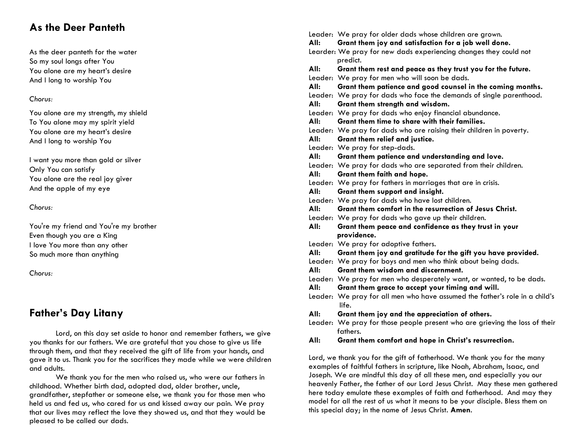# **As the Deer Panteth**

As the deer panteth for the water So my soul longs after You You alone are my heart's desire And I long to worship You

### *Chorus:*

You alone are my strength, my shield To You alone may my spirit yield You alone are my heart's desire And I long to worship You

I want you more than gold or silver Only You can satisfy You alone are the real joy giver And the apple of my eye

*Chorus:*

You're my friend and You're my brother Even though you are a King I love You more than any other So much more than anything

*Chorus:*

# **Father's Day Litany**

Lord, on this day set aside to honor and remember fathers, we give you thanks for our fathers. We are grateful that you chose to give us life through them, and that they received the gift of life from your hands, and gave it to us. Thank you for the sacrifices they made while we were children and adults.

We thank you for the men who raised us, who were our fathers in childhood. Whether birth dad, adopted dad, older brother, uncle, grandfather, stepfather or someone else, we thank you for those men who held us and fed us, who cared for us and kissed away our pain. We pray that our lives may reflect the love they showed us, and that they would be pleased to be called our dads.

|      | Leader: We pray for older dads whose children are grown.                    |
|------|-----------------------------------------------------------------------------|
| All: | Grant them joy and satisfaction for a job well done.                        |
|      | Learder: We pray for new dads experiencing changes they could not           |
|      | predict.                                                                    |
| All: | Grant them rest and peace as they trust you for the future.                 |
|      | Leader: We pray for men who will soon be dads.                              |
| All: | Grant them patience and good counsel in the coming months.                  |
|      |                                                                             |
|      | Leader: We pray for dads who face the demands of single parenthood.         |
| All: | Grant them strength and wisdom.                                             |
|      | Leader: We pray for dads who enjoy financial abundance.                     |
| All: | Grant them time to share with their families.                               |
|      | Leader: We pray for dads who are raising their children in poverty.         |
| All: | Grant them relief and justice.                                              |
|      | Leader: We pray for step-dads.                                              |
| All: | Grant them patience and understanding and love.                             |
|      | Leader: We pray for dads who are separated from their children.             |
| All: | Grant them faith and hope.                                                  |
|      | Leader: We pray for fathers in marriages that are in crisis.                |
| All: | Grant them support and insight.                                             |
|      | Leader: We pray for dads who have lost children.                            |
| All: | Grant them comfort in the resurrection of Jesus Christ.                     |
|      | Leader: We pray for dads who gave up their children.                        |
| All: | Grant them peace and confidence as they trust in your                       |
|      | providence.                                                                 |
|      | Leader: We pray for adoptive fathers.                                       |
| All: | Grant them joy and gratitude for the gift you have provided.                |
|      | Leader: We pray for boys and men who think about being dads.                |
| All: | <b>Grant them wisdom and discernment.</b>                                   |
|      | Leader: We pray for men who desperately want, or wanted, to be dads.        |
| All: | Grant them grace to accept your timing and will.                            |
|      | Leader: We pray for all men who have assumed the father's role in a child's |
|      | life.                                                                       |
| All: | Grant them joy and the appreciation of others.                              |
|      | Leader: We pray for those people present who are grieving the loss of their |
|      | fathers.                                                                    |
| All: | Grant them comfort and hope in Christ's resurrection.                       |
|      |                                                                             |

Lord, we thank you for the gift of fatherhood. We thank you for the many examples of faithful fathers in scripture, like Noah, Abraham, Isaac, and Joseph. We are mindful this day of all these men, and especially you our heavenly Father, the father of our Lord Jesus Christ. May these men gathered here today emulate these examples of faith and fatherhood. And may they model for all the rest of us what it means to be your disciple. Bless them on this special day; in the name of Jesus Christ. **Amen**.